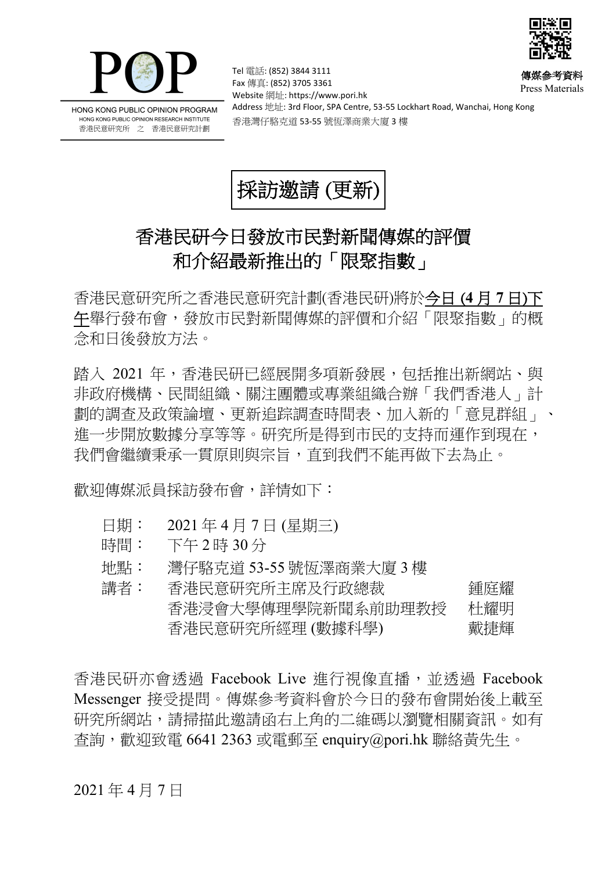

经济



HONG KONG PUBLIC OPINION PROGRAM HONG KONG PUBLIC OPINION RESEARCH INSTITUTE 香港民意研究所 之 香港民意研究計劃

Tel 電話: (852) 3844 3111 Fax 傳真: (852) 3705 3361 Website 網址: https://www.pori.hk Address 地址: 3rd Floor, SPA Centre, 53-55 Lockhart Road, Wanchai, Hong Kong 香港灣仔駱克道 53-55 號恆澤商業大廈 3 樓 Press Materials



## 香港民研今日發放市民對新聞傳媒的評價 和介紹最新推出的「限聚指數」

香港民意研究所之香港民意研究計劃(香港民研)將於今日 (**4** 月 **7** 日)下 午舉行發布會,發放市民對新聞傳媒的評價和介紹「限聚指數」的概 念和日後發放方法。

踏入 2021 年,香港民研已經展開多項新發展,包括推出新網站、與 非政府機構、民間組織、關注團體或專業組織合辦「我們香港人」計 劃的調查及政策論壇、更新追踪調查時間表、加入新的「意見群組」、 進一步開放數據分享等等。研究所是得到市民的支持而運作到現在, 我們會繼續秉承一貫原則與宗旨,直到我們不能再做下去為止。

歡迎傳媒派員採訪發布會,詳情如下:

- 日期: 2021 年 4 月 7 日 (星期三)
- 時間: 下午 2 時 30 分
- 地點: 灣仔駱克道 53-55 號恆澤商業大廈 3 樓

| 講者: | 香港民意研究所主席及行政總裁     | 鍾庭耀 |
|-----|--------------------|-----|
|     | 香港浸會大學傳理學院新聞系前助理教授 | 杜耀明 |
|     | 香港民意研究所經理 (數據科學)   | 戴捷輝 |

香港民研亦會诱過 Facebook Live 進行視像直播, 並透過 Facebook Messenger 接受提問。傳媒參考資料會於今日的發布會開始後上載至 研究所網站,請掃描此邀請函右上角的二維碼以瀏覽相關資訊。如有  $\hat{\Phi}$ 詢,歡迎致電 6641 2363 或電郵至 enquiry@pori.hk 聯絡黃先生。

2021 年 4 月 7 日